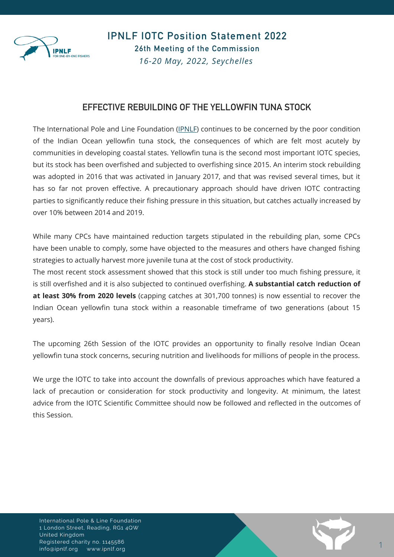

IPNLF IOTC Position Statement 2022 26th Meeting of the Commission *16-20 May, 2022, Seychelles*

## EFFECTIVE REBUILDING OF THE YELLOWFIN TUNA STOCK

The International Pole and Line Foundation ([IPNLF\)](https://ipnlf.org/) continues to be concerned by the poor condition of the Indian Ocean yellowfin tuna stock, the consequences of which are felt most acutely by communities in developing coastal states. Yellowfin tuna is the second most important IOTC species, but its stock has been overfished and subjected to overfishing since 2015. An interim stock rebuilding was adopted in 2016 that was activated in January 2017, and that was revised several times, but it has so far not proven effective. A precautionary approach should have driven IOTC contracting parties to significantly reduce their fishing pressure in this situation, but catches actually increased by over 10% between 2014 and 2019.

While many CPCs have maintained reduction targets stipulated in the rebuilding plan, some CPCs have been unable to comply, some have objected to the measures and others have changed fishing strategies to actually harvest more juvenile tuna at the cost of stock productivity.

The most recent stock assessment showed that this stock is still under too much fishing pressure, it is still overfished and it is also subjected to continued overfishing. **A substantial catch reduction of at least 30% from 2020 levels** (capping catches at 301,700 tonnes) is now essential to recover the Indian Ocean yellowfin tuna stock within a reasonable timeframe of two generations (about 15 years).

The upcoming 26th Session of the IOTC provides an opportunity to finally resolve Indian Ocean yellowfin tuna stock concerns, securing nutrition and livelihoods for millions of people in the process.

We urge the IOTC to take into account the downfalls of previous approaches which have featured a lack of precaution or consideration for stock productivity and longevity. At minimum, the latest advice from the IOTC Scientific Committee should now be followed and reflected in the outcomes of this Session.

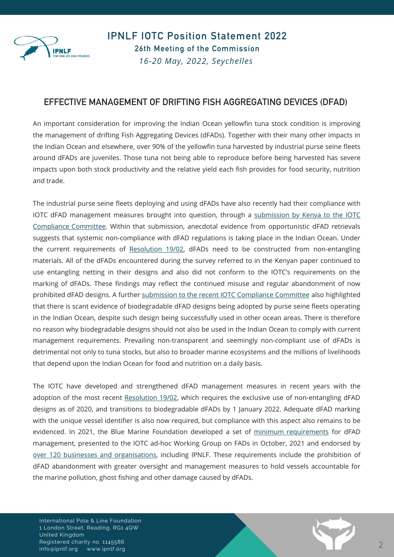

IPNLF IOTC Position Statement 2022 26th Meeting of the Commission *16-20 May, 2022, Seychelles*

## EFFECTIVE MANAGEMENT OF DRIFTING FISH AGGREGATING DEVICES (DFAD)

An important consideration for improving the Indian Ocean yellowfin tuna stock condition is improving the management of drifting Fish Aggregating Devices (dFADs). Together with their many other impacts in the Indian Ocean and elsewhere, over 90% of the yellowfin tuna harvested by industrial purse seine fleets around dFADs are juveniles. Those tuna not being able to reproduce before being harvested has severe impacts upon both stock productivity and the relative yield each fish provides for food security, nutrition and trade.

The industrial purse seine fleets deploying and using dFADs have also recently had their compliance with IOTC dFAD management measures brought into question, through a submission by Kenya to the IOTC Compliance Committee. Within that submission, anecdotal evidence from [opportunistic](https://www.iotc.org/documents/systematic-non-compliance-drifting-fish-aggregating-devices-dfads-resolution-1902-) dFAD retrievals suggests that systemic non-compliance with dFAD regulations is taking place in the Indian Ocean. Under the current requirements of [Resolution](https://iotc.org/documents/WGFAD/02/INF02) 19/02, dFADs need to be constructed from non-entangling materials. All of the dFADs encountered during the survey referred to in the Kenyan paper continued to use entangling netting in their designs and also did not conform to the IOTC's requirements on the marking of dFADs. These findings may reflect the continued misuse and regular abandonment of now prohibited dFAD designs. A further submission to the recent IOTC [Compliance](https://www.iotc.org/documents/non-compliance-dfad-biodegradability) Committee also highlighted that there is scant evidence of biodegradable dFAD designs being adopted by purse seine fleets operating in the Indian Ocean, despite such design being successfully used in other ocean areas. There is therefore no reason why biodegradable designs should not also be used in the Indian Ocean to comply with current management requirements. Prevailing non-transparent and seemingly non-compliant use of dFADs is detrimental not only to tuna stocks, but also to broader marine ecosystems and the millions of livelihoods that depend upon the Indian Ocean for food and nutrition on a daily basis.

The IOTC have developed and strengthened dFAD management measures in recent years with the adoption of the most recent [Resolution](https://iotc.org/cmm/resolution-1902-procedures-fish-aggregating-devices-fads-management-plan) 19/02, which requires the exclusive use of non-entangling dFAD designs as of 2020, and transitions to biodegradable dFADs by 1 January 2022. Adequate dFAD marking with the unique vessel identifier is also now required, but compliance with this aspect also remains to be evidenced. In 2021, the Blue Marine Foundation developed a set of minimum [requirements](https://www.bluemarinefoundation.com/wp-content/uploads/2021/10/Minimum-Requirements-for-Responsible-Drifting-FAD-Use.pdf) for dFAD management, presented to the IOTC ad-hoc Working Group on FADs in October, 2021 and endorsed by over 120 businesses and [organisations,](https://www.bluemarinefoundation.com/2021/10/04/more-than-100-ngos-and-retailers-call-for-improved-management-of-fish-aggregating-devices/) including IPNLF. These requirements include the prohibition of dFAD abandonment with greater oversight and management measures to hold vessels accountable for the marine pollution, ghost fishing and other damage caused by dFADs.

International Pole & Line Foundation 1 London Street, Reading, RG1 4QW United Kingdom Registered charity no. 1145586 info@ipnlf.org www.ipnlf.org